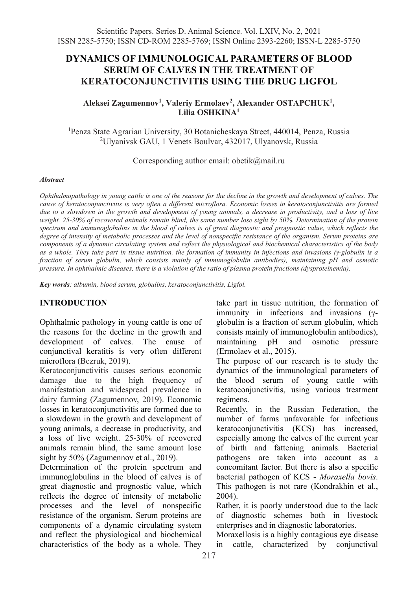# **DYNAMICS OF IMMUNOLOGICAL PARAMETERS OF BLOOD SERUM OF CALVES IN THE TREATMENT OF KERATOCONJUNCTIVITIS USING THE DRUG LIGFOL**

### **Aleksei Zagumennov1, Valeriy Ermolaev2, Alexander OSTAPCHUK1 , Lilia OSHKINA1**

1 Penza State Agrarian University, 30 Botanicheskaya Street, 440014, Penza, Russia 2 Ulyanivsk GAU, 1 Venets Boulvar, 432017, Ulyanovsk, Russia

Corresponding author email: obetik@mail.ru

#### *Abstract*

*Ophthalmopathology in young cattle is one of the reasons for the decline in the growth and development of calves. The cause of keratoconjunctivitis is very often a different microflora. Economic losses in keratoconjunctivitis are formed due to a slowdown in the growth and development of young animals, a decrease in productivity, and a loss of live weight. 25-30% of recovered animals remain blind, the same number lose sight by 50%. Determination of the protein spectrum and immunoglobulins in the blood of calves is of great diagnostic and prognostic value, which reflects the degree of intensity of metabolic processes and the level of nonspecific resistance of the organism. Serum proteins are components of a dynamic circulating system and reflect the physiological and biochemical characteristics of the body as a whole. They take part in tissue nutrition, the formation of immunity in infections and invasions (γ-globulin is a fraction of serum globulin, which consists mainly of immunoglobulin antibodies), maintaining pH and osmotic pressure. In ophthalmic diseases, there is a violation of the ratio of plasma protein fractions (dysproteinemia).* 

*Key words: albumin, blood serum, globulins, keratoconjunctivitis, Ligfol.*

## **INTRODUCTION**

Ophthalmic pathology in young cattle is one of the reasons for the decline in the growth and development of calves. The cause of conjunctival keratitis is very often different microflora (Bezruk, 2019).

Keratoconjunctivitis causes serious economic damage due to the high frequency of manifestation and widespread prevalence in dairy farming (Zagumennov, 2019). Economic losses in keratoconjunctivitis are formed due to a slowdown in the growth and development of young animals, a decrease in productivity, and a loss of live weight. 25-30% of recovered animals remain blind, the same amount lose sight by 50% (Zagumennov et al., 2019).

Determination of the protein spectrum and immunoglobulins in the blood of calves is of great diagnostic and prognostic value, which reflects the degree of intensity of metabolic processes and the level of nonspecific resistance of the organism. Serum proteins are components of a dynamic circulating system and reflect the physiological and biochemical characteristics of the body as a whole. They take part in tissue nutrition, the formation of immunity in infections and invasions (γglobulin is a fraction of serum globulin, which consists mainly of immunoglobulin antibodies), maintaining pH and osmotic pressure (Ermolaev et al., 2015).

The purpose of our research is to study the dynamics of the immunological parameters of the blood serum of young cattle with keratoconjunctivitis, using various treatment regimens.

Recently, in the Russian Federation, the number of farms unfavorable for infectious keratoconjunctivitis (KCS) has increased, especially among the calves of the current year of birth and fattening animals. Bacterial pathogens are taken into account as a concomitant factor. But there is also a specific bacterial pathogen of KCS - *Moraxella bovis*. This pathogen is not rare (Kondrakhin et al., 2004).

Rather, it is poorly understood due to the lack of diagnostic schemes both in livestock enterprises and in diagnostic laboratories.

Moraxellosis is a highly contagious eye disease in cattle, characterized by conjunctival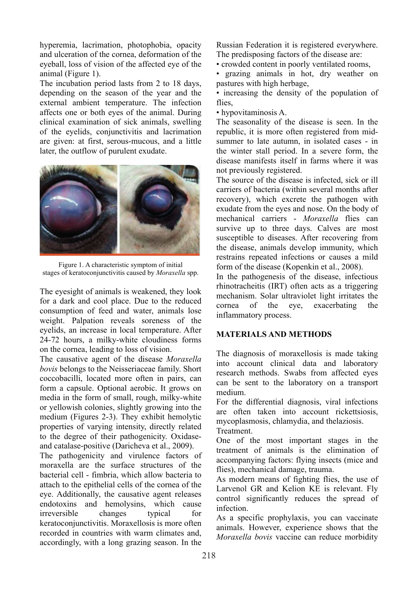hyperemia, lacrimation, photophobia, opacity and ulceration of the cornea, deformation of the eyeball, loss of vision of the affected eye of the animal (Figure 1).

The incubation period lasts from 2 to 18 days, depending on the season of the year and the external ambient temperature. The infection affects one or both eyes of the animal. During clinical examination of sick animals, swelling of the eyelids, conjunctivitis and lacrimation are given: at first, serous-mucous, and a little later, the outflow of purulent exudate.



Figure 1. A characteristic symptom of initial stages of keratoconjunctivitis caused by *Moraxella* spp.

The eyesight of animals is weakened, they look for a dark and cool place. Due to the reduced consumption of feed and water, animals lose weight. Palpation reveals soreness of the eyelids, an increase in local temperature. After 24-72 hours, a milky-white cloudiness forms on the cornea, leading to loss of vision.

The causative agent of the disease *Moraxella bovis* belongs to the Neisseriaceae family. Short coccobacilli, located more often in pairs, can form a capsule. Optional aerobic. It grows on media in the form of small, rough, milky-white or yellowish colonies, slightly growing into the medium (Figures 2-3). They exhibit hemolytic properties of varying intensity, directly related to the degree of their pathogenicity. Oxidaseand catalase-positive (Daricheva et al., 2009).

The pathogenicity and virulence factors of moraxella are the surface structures of the bacterial cell - fimbria, which allow bacteria to attach to the epithelial cells of the cornea of the eye. Additionally, the causative agent releases endotoxins and hemolysins, which cause irreversible changes typical for keratoconjunctivitis. Moraxellosis is more often recorded in countries with warm climates and, accordingly, with a long grazing season. In the

Russian Federation it is registered everywhere. The predisposing factors of the disease are:

• crowded content in poorly ventilated rooms,

• grazing animals in hot, dry weather on pastures with high herbage,

• increasing the density of the population of flies.

• hypovitaminosis A.

The seasonality of the disease is seen. In the republic, it is more often registered from midsummer to late autumn, in isolated cases - in the winter stall period. In a severe form, the disease manifests itself in farms where it was not previously registered.

The source of the disease is infected, sick or ill carriers of bacteria (within several months after recovery), which excrete the pathogen with exudate from the eyes and nose. On the body of mechanical carriers - *Moraxella* flies can survive up to three days. Calves are most susceptible to diseases. After recovering from the disease, animals develop immunity, which restrains repeated infections or causes a mild form of the disease (Kopenkin et al., 2008).

In the pathogenesis of the disease, infectious rhinotracheitis (IRT) often acts as a triggering mechanism. Solar ultraviolet light irritates the cornea of the eye, exacerbating the inflammatory process.

## **MATERIALS AND METHODS**

The diagnosis of moraxellosis is made taking into account clinical data and laboratory research methods. Swabs from affected eyes can be sent to the laboratory on a transport medium.

For the differential diagnosis, viral infections are often taken into account rickettsiosis, mycoplasmosis, chlamydia, and thelaziosis.

Treatment.

One of the most important stages in the treatment of animals is the elimination of accompanying factors: flying insects (mice and flies), mechanical damage, trauma.

As modern means of fighting flies, the use of Larvenol GR and Kelion KE is relevant. Fly control significantly reduces the spread of infection.

As a specific prophylaxis, you can vaccinate animals. However, experience shows that the *Moraxella bovis* vaccine can reduce morbidity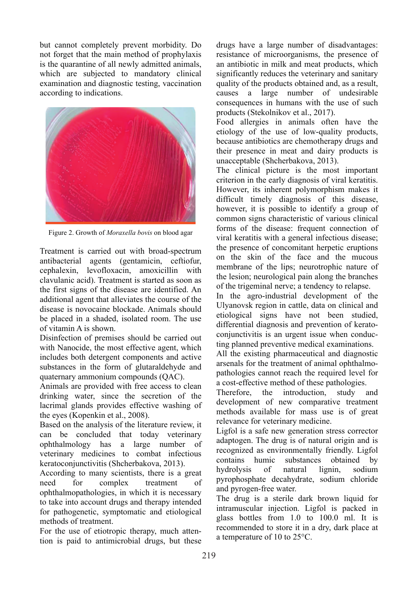but cannot completely prevent morbidity. Do not forget that the main method of prophylaxis is the quarantine of all newly admitted animals, which are subjected to mandatory clinical examination and diagnostic testing, vaccination according to indications.



Figure 2. Growth of *Moraxella bovis* on blood agar

Treatment is carried out with broad-spectrum antibacterial agents (gentamicin, ceftiofur, cephalexin, levofloxacin, amoxicillin with clavulanic acid). Treatment is started as soon as the first signs of the disease are identified. An additional agent that alleviates the course of the disease is novocaine blockade. Animals should be placed in a shaded, isolated room. The use of vitamin A is shown.

Disinfection of premises should be carried out with Nanocide, the most effective agent, which includes both detergent components and active substances in the form of glutaraldehyde and quaternary ammonium compounds (QAC).

Animals are provided with free access to clean drinking water, since the secretion of the lacrimal glands provides effective washing of the eyes (Kopenkin et al., 2008).

Based on the analysis of the literature review, it can be concluded that today veterinary ophthalmology has a large number of veterinary medicines to combat infectious keratoconjunctivitis (Shcherbakova, 2013).

According to many scientists, there is a great need for complex treatment of ophthalmopathologies, in which it is necessary to take into account drugs and therapy intended for pathogenetic, symptomatic and etiological methods of treatment.

For the use of etiotropic therapy, much attention is paid to antimicrobial drugs, but these drugs have a large number of disadvantages: resistance of microorganisms, the presence of an antibiotic in milk and meat products, which significantly reduces the veterinary and sanitary quality of the products obtained and, as a result, causes a large number of undesirable consequences in humans with the use of such products (Stekolnikov et al., 2017).

Food allergies in animals often have the etiology of the use of low-quality products, because antibiotics are chemotherapy drugs and their presence in meat and dairy products is unacceptable (Shcherbakova, 2013).

The clinical picture is the most important criterion in the early diagnosis of viral keratitis. However, its inherent polymorphism makes it difficult timely diagnosis of this disease, however, it is possible to identify a group of common signs characteristic of various clinical forms of the disease: frequent connection of viral keratitis with a general infectious disease; the presence of concomitant herpetic eruptions on the skin of the face and the mucous membrane of the lips; neurotrophic nature of the lesion; neurological pain along the branches of the trigeminal nerve; a tendency to relapse.

In the agro-industrial development of the Ulyanovsk region in cattle, data on clinical and etiological signs have not been studied, differential diagnosis and prevention of keratoconjunctivitis is an urgent issue when conducting planned preventive medical examinations.

All the existing pharmaceutical and diagnostic arsenals for the treatment of animal ophthalmopathologies cannot reach the required level for a cost-effective method of these pathologies.

Therefore, the introduction, study and development of new comparative treatment methods available for mass use is of great relevance for veterinary medicine.

Ligfol is a safe new generation stress corrector adaptogen. The drug is of natural origin and is recognized as environmentally friendly. Ligfol contains humic substances obtained by hydrolysis of natural lignin, sodium pyrophosphate decahydrate, sodium chloride and pyrogen-free water.

The drug is a sterile dark brown liquid for intramuscular injection. Ligfol is packed in glass bottles from 1.0 to 100.0 ml. It is recommended to store it in a dry, dark place at a temperature of 10 to 25°C.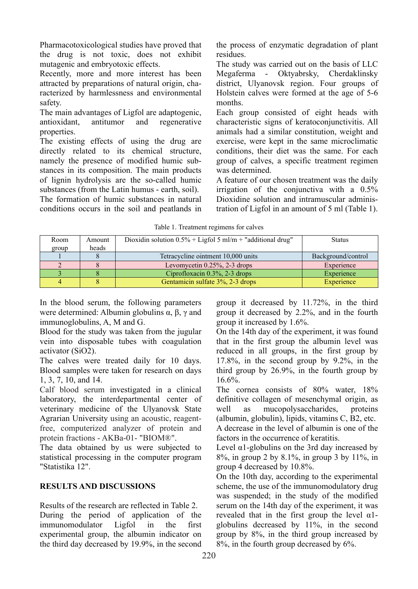Pharmacotoxicological studies have proved that the drug is not toxic, does not exhibit mutagenic and embryotoxic effects.

Recently, more and more interest has been attracted by preparations of natural origin, characterized by harmlessness and environmental safety.

The main advantages of Ligfol are adaptogenic,<br>antioxidant, antitumor and regenerative antioxidant, antitumor and regenerative properties.

The existing effects of using the drug are directly related to its chemical structure, namely the presence of modified humic substances in its composition. The main products of lignin hydrolysis are the so-called humic substances (from the Latin humus - earth, soil).

The formation of humic substances in natural conditions occurs in the soil and peatlands in the process of enzymatic degradation of plant residues.

The study was carried out on the basis of LLC Megaferma - Oktyabrsky, Cherdaklinsky district, Ulyanovsk region. Four groups of Holstein calves were formed at the age of 5-6 months.

Each group consisted of eight heads with characteristic signs of keratoconjunctivitis. All animals had a similar constitution, weight and exercise, were kept in the same microclimatic conditions, their diet was the same. For each group of calves, a specific treatment regimen was determined.

A feature of our chosen treatment was the daily irrigation of the conjunctiva with a 0.5% Dioxidine solution and intramuscular administration of Ligfol in an amount of 5 ml (Table 1).

| ruote 1: freumient regimento for euroso |       |                                                               |                    |  |  |  |  |  |  |  |  |
|-----------------------------------------|-------|---------------------------------------------------------------|--------------------|--|--|--|--|--|--|--|--|
| Room<br>Amount                          |       | Dioxidin solution $0.5\%$ + Ligfol 5 ml/m + "additional drug" | <b>Status</b>      |  |  |  |  |  |  |  |  |
| group                                   | heads |                                                               |                    |  |  |  |  |  |  |  |  |
|                                         |       | Tetracycline ointment 10,000 units                            | Background/control |  |  |  |  |  |  |  |  |
|                                         |       | Levomycetin $0.25\%$ , 2-3 drops                              | Experience         |  |  |  |  |  |  |  |  |
|                                         |       | Ciprofloxacin $0.3\%$ , 2-3 drops                             | Experience         |  |  |  |  |  |  |  |  |
|                                         |       | Gentamicin sulfate 3%, 2-3 drops                              | Experience         |  |  |  |  |  |  |  |  |

Table 1. Treatment regimens for calves

In the blood serum, the following parameters were determined: Albumin globulins  $\alpha$ ,  $\beta$ ,  $\gamma$  and immunoglobulins, A, M and G.

Blood for the study was taken from the jugular vein into disposable tubes with coagulation activator (SiO2).

The calves were treated daily for 10 days. Blood samples were taken for research on days 1, 3, 7, 10, and 14.

Calf blood serum investigated in a clinical laboratory, the interdepartmental center of veterinary medicine of the Ulyanovsk State Agrarian University using an acoustic, reagentfree, computerized analyzer of protein and protein fractions - AKBa-01- "BIOM®".

The data obtained by us were subjected to statistical processing in the computer program "Statistika 12".

### **RESULTS AND DISCUSSIONS**

Results of the research are reflected in Table 2. During the period of application of the immunomodulator Ligfol in the first experimental group, the albumin indicator on the third day decreased by 19.9%, in the second group it decreased by 11.72%, in the third group it decreased by 2.2%, and in the fourth group it increased by 1.6%.

On the 14th day of the experiment, it was found that in the first group the albumin level was reduced in all groups, in the first group by 17.8%, in the second group by 9.2%, in the third group by 26.9%, in the fourth group by  $16.6\%$ .

The cornea consists of 80% water, 18% definitive collagen of mesenchymal origin, as well as mucopolysaccharides, proteins (albumin, globulin), lipids, vitamins C, B2, etc. A decrease in the level of albumin is one of the

factors in the occurrence of keratitis.

Level α1-globulins on the 3rd day increased by 8%, in group 2 by 8.1%, in group 3 by 11%, in group 4 decreased by 10.8%.

On the 10th day, according to the experimental scheme, the use of the immunomodulatory drug was suspended; in the study of the modified serum on the 14th day of the experiment, it was revealed that in the first group the level α1 globulins decreased by 11%, in the second group by 8%, in the third group increased by 8%, in the fourth group decreased by 6%.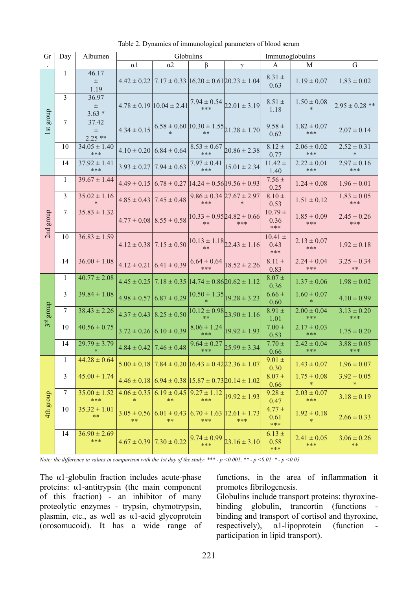| Gr                               | Day          | Albumen                    | Globulins               |                                   |                            | Immunoglobulins                                                         |                            |                           |                           |
|----------------------------------|--------------|----------------------------|-------------------------|-----------------------------------|----------------------------|-------------------------------------------------------------------------|----------------------------|---------------------------|---------------------------|
|                                  |              |                            | $\alpha$ 1              | $\alpha$ 2                        | ß                          | $\gamma$                                                                | А                          | M                         | G                         |
| group<br>$\overline{\mathbf{a}}$ | 1            | 46.17<br>$\pm$<br>1.19     |                         |                                   |                            | $4.42 \pm 0.22$   $7.17 \pm 0.33$   $16.20 \pm 0.61$   $20.23 \pm 1.04$ | $8.31 \pm$<br>0.63         | $1.19 \pm 0.07$           | $1.83 \pm 0.02$           |
|                                  | 3            | 36.97<br>$\pm$<br>$3.63*$  |                         | $4.78 \pm 0.19$ 10.04 $\pm$ 2.41  |                            | $7.94 \pm 0.54$ <sub>22.01</sub> $\pm$ 3.19                             | $8.51 \pm$<br>1.18         | $1.50 \pm 0.08$<br>$\ast$ | $2.95 \pm 0.28$ **        |
|                                  | $\tau$       | 37.42<br>$\pm$<br>$2.25**$ | $4.34 \pm 0.15$         |                                   |                            | $6.58 \pm 0.60$ $10.30 \pm 1.55$ $21.28 \pm 1.70$                       | $9.58 \pm$<br>0.62         | $1.82 \pm 0.07$<br>***    | $2.07 \pm 0.14$           |
|                                  | 10           | $34.05 \pm 1.40$<br>***    |                         | $4.10 \pm 0.20$ 6.84 $\pm 0.64$   | $8.53 \pm 0.67$<br>***     | $20.86 \pm 2.38$                                                        | $8.12 \pm$<br>0.77         | $2.06 \pm 0.02$<br>***    | $2.52 \pm 0.31$<br>$*$    |
|                                  | 14           | $37.92 \pm 1.41$<br>***    | $3.93 \pm 0.27$         | $7.94 \pm 0.63$                   | $7.97 \pm 0.41$<br>***     | $15.01 \pm 2.34$                                                        | $11.42 \pm$<br>1.40        | $2.22 \pm 0.01$<br>***    | $2.97 \pm 0.16$<br>***    |
| group<br>2nd                     | $\mathbf{1}$ | $39.67 \pm 1.44$           |                         |                                   |                            | $4.49 \pm 0.15$ 6.78 $\pm$ 0.27 14.24 $\pm$ 0.56 19.56 $\pm$ 0.93       | $7.56 \pm$<br>0.25         | $1.24 \pm 0.08$           | $1.96 \pm 0.01$           |
|                                  | 3            | $35.02 \pm 1.16$           |                         | $4.85 \pm 0.43$   $7.45 \pm 0.48$ | ***                        | $9.86 \pm 0.34$ 27.67 $\pm$ 2.97<br>$\ast$                              | $8.10 \pm$<br>0.53         | $1.51 \pm 0.12$           | $1.83 \pm 0.05$<br>***    |
|                                  | $\tau$       | $35.83 \pm 1.32$           |                         | $4.77 \pm 0.08$ $8.55 \pm 0.58$   | $**$                       | $10.33 \pm 0.9524.82 \pm 0.66$<br>***                                   | $10.79 \pm$<br>0.36<br>*** | $1.85 \pm 0.09$<br>***    | $2.45 \pm 0.26$<br>***    |
|                                  | 10           | $36.83 \pm 1.59$           |                         | $4.12 \pm 0.38$ 7.15 $\pm 0.50$   |                            | $10.13 \pm 1.18$ <sub>22.43</sub> $\pm 1.16$                            | $10.41 \pm$<br>0.43<br>*** | $2.13 \pm 0.07$<br>***    | $1.92 \pm 0.18$           |
|                                  | 14           | $36.00 \pm 1.08$           | $4.12 \pm 0.21$         | $6.41 \pm 0.39$                   | $6.64 \pm 0.64$<br>***     | $18.52 \pm 2.26$                                                        | $8.11 \pm$<br>0.83         | $2.24 \pm 0.04$<br>***    | $3.25 \pm 0.34$<br>$**$   |
| group<br>3rd                     | $\mathbf{1}$ | $40.77 \pm 2.08$           | $4.45 \pm 0.25$         |                                   |                            | $7.18 \pm 0.35$  14.74 $\pm 0.86$  20.62 $\pm 1.12$                     | $8.07 +$<br>0.36           | $1.37 \pm 0.06$           | $1.98 \pm 0.02$           |
|                                  | 3            | $39.84 \pm 1.08$           | $4.98 \pm 0.57$         | $6.87 \pm 0.29$                   | $10.50 \pm 1.35$<br>$\ast$ | $19.28 \pm 3.23$                                                        | $6.66 \pm$<br>0.60         | $1.60 \pm 0.07$<br>$\ast$ | $4.10 \pm 0.99$           |
|                                  | 7            | $38.43 \pm 2.26$           | $4.37 \pm 0.43$         | $8.25 \pm 0.50$                   |                            | $10.12 \pm 0.98$ <sub>23.90</sub> $\pm$ 1.16                            | $8.91 \pm$<br>1.01         | $2.00 \pm 0.04$<br>***    | $3.13 \pm 0.20$<br>***    |
|                                  | 10           | $40.56 \pm 0.75$           | $3.72 \pm 0.26$         | $6.10 \pm 0.39$                   | $8.06 \pm 1.24$<br>***     | $19.92 \pm 1.93$                                                        | $7.00 \pm$<br>0.53         | $2.17 \pm 0.03$<br>***    | $1.75 \pm 0.20$           |
|                                  | 14           | $29.79 \pm 3.79$           | $4.84 \pm 0.42$         | $7.46 \pm 0.48$                   | $9.64 \pm 0.27$<br>***     | $25.99 \pm 3.34$                                                        | $7.70 \pm$<br>0.66         | $2.42 \pm 0.04$<br>***    | $3.88 \pm 0.05$<br>***    |
| 4th group                        | $\mathbf{1}$ | $44.28 \pm 0.64$           | $5.00 \pm 0.18$         |                                   |                            | $7.84 \pm 0.20$  16.43 $\pm$ 0.42 22.36 $\pm$ 1.07                      | $9.01 \pm$<br>0.30         | $1.43 \pm 0.07$           | $1.96 \pm 0.07$           |
|                                  | 3            | $45.00 \pm 1.74$           | $4.46 \pm 0.18$         |                                   |                            | $6.94 \pm 0.38$  15.87 $\pm$ 0.73 20.14 $\pm$ 1.02                      | $8.07 \pm$<br>0.66         | $1.75 \pm 0.08$<br>$\ast$ | $3.92 \pm 0.05$<br>$\ast$ |
|                                  | $\tau$       | $35.00 \pm 1.52$<br>***    | $4.06 \pm 0.35$         | $6.19 \pm 0.45$<br>**             | $9.27 \pm 1.12$<br>***     | $19.92 \pm 1.93$                                                        | $9.28 \pm$<br>0.47         | $2.03 \pm 0.07$<br>***    | $3.18 \pm 0.19$           |
|                                  | 10           | $35.32 \pm 1.01$<br>$**$   | $3.05 \pm 0.56$<br>$**$ | $6.01 \pm 0.43$<br>$**$           | ***                        | $6.70 \pm 1.63$   12.61 $\pm$ 1.73<br>***                               | $4.77 \pm$<br>0.61<br>***  | $1.92 \pm 0.18$<br>$\ast$ | $2.66 \pm 0.33$           |
|                                  | 14           | $36.90 \pm 2.69$<br>***    |                         | $4.67 \pm 0.39$ 7.30 $\pm$ 0.22   | $9.74 \pm 0.99$<br>***     | $23.16 \pm 3.10$                                                        | $6.13 \pm$<br>0.58<br>***  | $2.41 \pm 0.05$<br>***    | $3.06 \pm 0.26$<br>$**$   |

Table 2. Dynamics of immunological parameters of blood serum

*Note: the difference in values in comparison with the 1st day of the study: \*\*\* - p <0.001, \*\* - p <0.01, \* - p <0.05*

The  $\alpha$ 1-globulin fraction includes acute-phase proteins: α1-antitrypsin (the main component of this fraction) - an inhibitor of many proteolytic enzymes - trypsin, chymotrypsin, plasmin, etc., as well as α1-acid glycoprotein (orosomucoid). It has a wide range of functions, in the area of inflammation it promotes fibrilogenesis.

Globulins include transport proteins: thyroxinebinding globulin, trancortin (functions binding and transport of cortisol and thyroxine, respectively),  $\alpha$ 1-lipoprotein (function participation in lipid transport).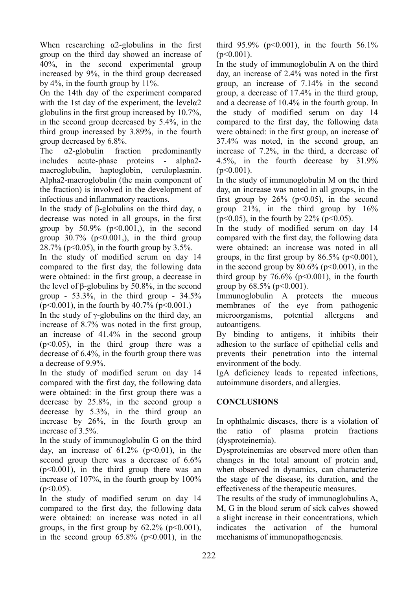When researching  $\alpha$ 2-globulins in the first group on the third day showed an increase of 40%, in the second experimental group increased by 9%, in the third group decreased by 4%, in the fourth group by 11%.

On the 14th day of the experiment compared with the 1st day of the experiment, the levela $2$ globulins in the first group increased by 10.7%, in the second group decreased by 5.4%, in the third group increased by 3.89%, in the fourth

group decreased by 6.8%.<br>The  $\alpha$ 2-globulin frac The α2-globulin fraction predominantly includes acute-phase proteins - alpha2 macroglobulin, haptoglobin, ceruloplasmin. Alpha2-macroglobulin (the main component of the fraction) is involved in the development of infectious and inflammatory reactions.

In the study of β-globulins on the third day, a decrease was noted in all groups, in the first group by  $50.9\%$  ( $p<0.001$ ), in the second group  $30.7\%$  (p<0.001,), in the third group  $28.7\%$  (p<0.05), in the fourth group by 3.5%.

In the study of modified serum on day 14 compared to the first day, the following data were obtained: in the first group, a decrease in the level of β-globulins by 50.8%, in the second group -  $53.3\%$ , in the third group -  $34.5\%$  $(p<0.001)$ , in the fourth by 40.7% ( $p<0.001$ .)

In the study of  $\gamma$ -globulins on the third day, an increase of 8.7% was noted in the first group, an increase of 41.4% in the second group  $(p<0.05)$ , in the third group there was a decrease of 6.4%, in the fourth group there was a decrease of 9.9%.

In the study of modified serum on day 14 compared with the first day, the following data were obtained: in the first group there was a decrease by 25.8%, in the second group a decrease by 5.3%, in the third group an increase by 26%, in the fourth group an increase of 3.5%.

In the study of immunoglobulin G on the third day, an increase of  $61.2\%$  ( $p<0.01$ ), in the second group there was a decrease of 6.6%  $(p<0.001)$ , in the third group there was an increase of 107%, in the fourth group by 100%  $(p<0.05)$ .

In the study of modified serum on day 14 compared to the first day, the following data were obtained: an increase was noted in all groups, in the first group by  $62.2\%$  ( $p<0.001$ ), in the second group  $65.8\%$  ( $p<0.001$ ), in the third  $95.9\%$  (p<0.001), in the fourth  $56.1\%$  $(p<0.001)$ .

In the study of immunoglobulin A on the third day, an increase of 2.4% was noted in the first group, an increase of 7.14% in the second group, a decrease of 17.4% in the third group, and a decrease of 10.4% in the fourth group. In the study of modified serum on day 14 compared to the first day, the following data were obtained: in the first group, an increase of 37.4% was noted, in the second group, an increase of 7.2%, in the third, a decrease of 4.5%, in the fourth decrease by 31.9%  $(p<0.001)$ .

In the study of immunoglobulin M on the third day, an increase was noted in all groups, in the first group by  $26\%$  ( $p<0.05$ ), in the second group 21%, in the third group by 16%  $(p<0.05)$ , in the fourth by 22% ( $p<0.05$ ).

In the study of modified serum on day 14 compared with the first day, the following data were obtained: an increase was noted in all groups, in the first group by  $86.5\%$  ( $p<0.001$ ), in the second group by  $80.6\%$  ( $p \le 0.001$ ), in the third group by  $76.6\%$  (p<0.001), in the fourth group by  $68.5\%$  (p  $< 0.001$ ).

Immunoglobulin A protects the mucous membranes of the eye from pathogenic microorganisms, potential allergens and autoantigens.

By binding to antigens, it inhibits their adhesion to the surface of epithelial cells and prevents their penetration into the internal environment of the body.

IgA deficiency leads to repeated infections, autoimmune disorders, and allergies.

# **CONCLUSIONS**

In ophthalmic diseases, there is a violation of the ratio of plasma protein fractions (dysproteinemia).

Dysproteinemias are observed more often than changes in the total amount of protein and, when observed in dynamics, can characterize the stage of the disease, its duration, and the effectiveness of the therapeutic measures.

The results of the study of immunoglobulins A, M, G in the blood serum of sick calves showed a slight increase in their concentrations, which indicates the activation of the humoral mechanisms of immunopathogenesis.